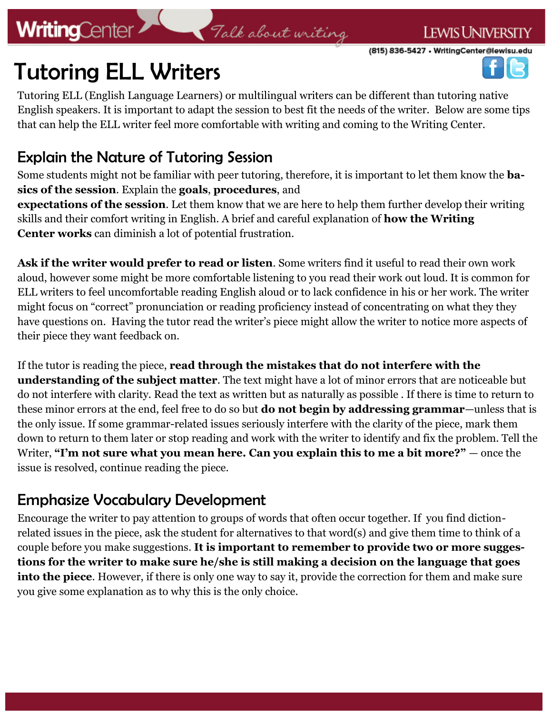# **WritingCenter**

# Talk about writing

(815) 836-5427 • WritingCenter@lewisu.edu

**LEWIS UNIVERSITY** 



# Tutoring ELL Writers

Tutoring ELL (English Language Learners) or multilingual writers can be different than tutoring native English speakers. It is important to adapt the session to best fit the needs of the writer. Below are some tips that can help the ELL writer feel more comfortable with writing and coming to the Writing Center.

### Explain the Nature of Tutoring Session

Some students might not be familiar with peer tutoring, therefore, it is important to let them know the **basics of the session**. Explain the **goals**, **procedures**, and

**expectations of the session**. Let them know that we are here to help them further develop their writing skills and their comfort writing in English. A brief and careful explanation of **how the Writing Center works** can diminish a lot of potential frustration.

**Ask if the writer would prefer to read or listen***.* Some writers find it useful to read their own work aloud, however some might be more comfortable listening to you read their work out loud. It is common for ELL writers to feel uncomfortable reading English aloud or to lack confidence in his or her work. The writer might focus on "correct" pronunciation or reading proficiency instead of concentrating on what they they have questions on. Having the tutor read the writer's piece might allow the writer to notice more aspects of their piece they want feedback on.

If the tutor is reading the piece, **read through the mistakes that do not interfere with the understanding of the subject matter**. The text might have a lot of minor errors that are noticeable but do not interfere with clarity. Read the text as written but as naturally as possible . If there is time to return to these minor errors at the end, feel free to do so but **do not begin by addressing grammar**—unless that is the only issue. If some grammar-related issues seriously interfere with the clarity of the piece, mark them down to return to them later or stop reading and work with the writer to identify and fix the problem. Tell the Writer, "I'm not sure what you mean here. Can you explain this to me a bit more?" — once the issue is resolved, continue reading the piece.

### Emphasize Vocabulary Development

Encourage the writer to pay attention to groups of words that often occur together. If you find dictionrelated issues in the piece, ask the student for alternatives to that word(s) and give them time to think of a couple before you make suggestions. **It is important to remember to provide two or more suggestions for the writer to make sure he/she is still making a decision on the language that goes into the piece**. However, if there is only one way to say it, provide the correction for them and make sure you give some explanation as to why this is the only choice.